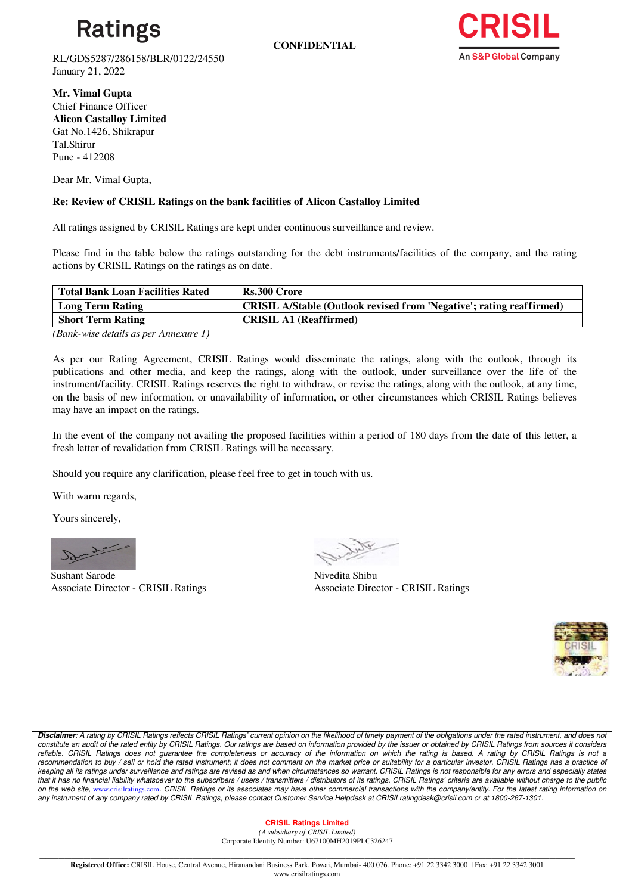

**CONFIDENTIAL**

RL/GDS5287/286158/BLR/0122/24550 January 21, 2022



**Mr. Vimal Gupta**  Chief Finance Officer **Alicon Castalloy Limited** Gat No.1426, Shikrapur Tal.Shirur Pune - 412208

Dear Mr. Vimal Gupta,

## **Re: Review of CRISIL Ratings on the bank facilities of Alicon Castalloy Limited**

All ratings assigned by CRISIL Ratings are kept under continuous surveillance and review.

Please find in the table below the ratings outstanding for the debt instruments/facilities of the company, and the rating actions by CRISIL Ratings on the ratings as on date.

| Total Bank Loan Facilities Rated | <b>Rs.300 Crore</b>                                                  |
|----------------------------------|----------------------------------------------------------------------|
| Long Term Rating                 | CRISIL A/Stable (Outlook revised from 'Negative'; rating reaffirmed) |
| <b>Short Term Rating</b>         | <b>CRISIL A1 (Reaffirmed)</b>                                        |
| .                                |                                                                      |

*(Bank-wise details as per Annexure 1)*

As per our Rating Agreement, CRISIL Ratings would disseminate the ratings, along with the outlook, through its publications and other media, and keep the ratings, along with the outlook, under surveillance over the life of the instrument/facility. CRISIL Ratings reserves the right to withdraw, or revise the ratings, along with the outlook, at any time, on the basis of new information, or unavailability of information, or other circumstances which CRISIL Ratings believes may have an impact on the ratings.

In the event of the company not availing the proposed facilities within a period of 180 days from the date of this letter, a fresh letter of revalidation from CRISIL Ratings will be necessary.

Should you require any clarification, please feel free to get in touch with us.

With warm regards,

Yours sincerely,

Sushant Sarode Nivedita Shibu

Associate Director - CRISIL Ratings Associate Director - CRISIL Ratings



*Disclaimer: A rating by CRISIL Ratings reflects CRISIL Ratings' current opinion on the likelihood of timely payment of the obligations under the rated instrument, and does not*  constitute an audit of the rated entity by CRISIL Ratings. Our ratings are based on information provided by the issuer or obtained by CRISIL Ratings from sources it considers reliable. CRISIL Ratings does not guarantee the completeness or accuracy of the information on which the rating is based. A rating by CRISIL Ratings is not a recommendation to buy / sell or hold the rated instrument; it does not comment on the market price or suitability for a particular investor. CRISIL Ratings has a practice of *keeping all its ratings under surveillance and ratings are revised as and when circumstances so warrant. CRISIL Ratings is not responsible for any errors and especially states that it has no financial liability whatsoever to the subscribers / users / transmitters / distributors of its ratings. CRISIL Ratings' criteria are available without charge to the public on the web site,* [www.crisilratings.com](https://ind01.safelinks.protection.outlook.com/?url=http%3A%2F%2Fwww.crisilratings.com%2F&data=04%7C01%7CSuryanarayana.Gude%40ext-crisil.com%7Cc842be47f1484f5bc10e08d9c6d8a581%7C4d8b04bf7a7c48a0b6e338da5008297e%7C0%7C0%7C637759456050302254%7CUnknown%7CTWFpbGZsb3d8eyJWIjoiMC4wLjAwMDAiLCJQIjoiV2luMzIiLCJBTiI6Ik1haWwiLCJXVCI6Mn0%3D%7C3000&sdata=W4gV%2Bkv7H2pvVaLCh5dLbsW%2FZ%2FgWdylb05bJkP7Qz8A%3D&reserved=0)*. CRISIL Ratings or its associates may have other commercial transactions with the company/entity. For the latest rating information on any instrument of any company rated by CRISIL Ratings, please contact Customer Service Helpdesk at CRISILratingdesk@crisil.com or at 1800-267-1301.*

#### **CRISIL Ratings Limited**

*(A subsidiary of CRISIL Limited)*  Corporate Identity Number: U67100MH2019PLC326247